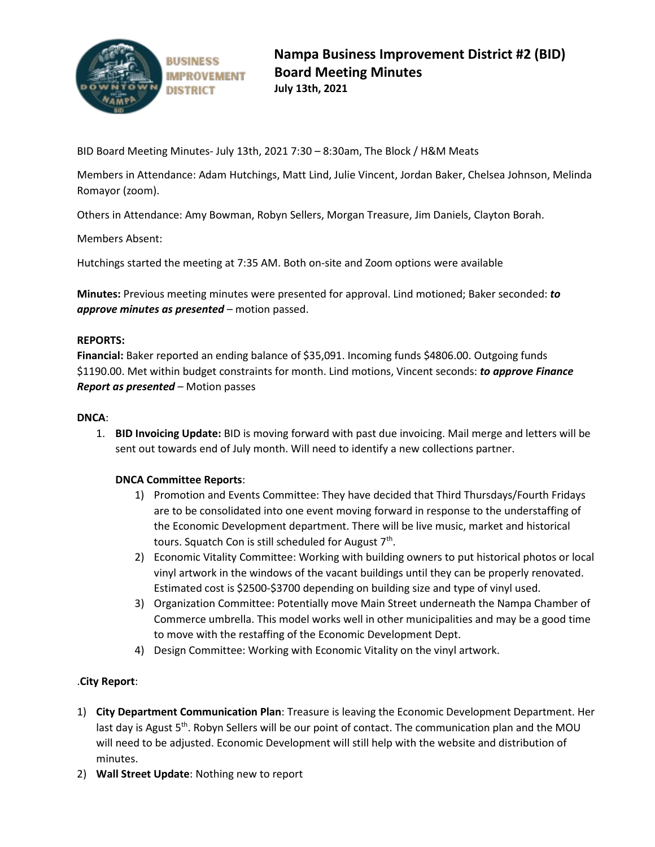

BID Board Meeting Minutes- July 13th, 2021 7:30 – 8:30am, The Block / H&M Meats

Members in Attendance: Adam Hutchings, Matt Lind, Julie Vincent, Jordan Baker, Chelsea Johnson, Melinda Romayor (zoom).

Others in Attendance: Amy Bowman, Robyn Sellers, Morgan Treasure, Jim Daniels, Clayton Borah.

Members Absent:

Hutchings started the meeting at 7:35 AM. Both on-site and Zoom options were available

**Minutes:** Previous meeting minutes were presented for approval. Lind motioned; Baker seconded: *to approve minutes as presented* – motion passed.

# **REPORTS:**

**Financial:** Baker reported an ending balance of \$35,091. Incoming funds \$4806.00. Outgoing funds \$1190.00. Met within budget constraints for month. Lind motions, Vincent seconds: *to approve Finance Report as presented* – Motion passes

## **DNCA**:

1. **BID Invoicing Update:** BID is moving forward with past due invoicing. Mail merge and letters will be sent out towards end of July month. Will need to identify a new collections partner.

# **DNCA Committee Reports**:

- 1) Promotion and Events Committee: They have decided that Third Thursdays/Fourth Fridays are to be consolidated into one event moving forward in response to the understaffing of the Economic Development department. There will be live music, market and historical tours. Squatch Con is still scheduled for August  $7<sup>th</sup>$ .
- 2) Economic Vitality Committee: Working with building owners to put historical photos or local vinyl artwork in the windows of the vacant buildings until they can be properly renovated. Estimated cost is \$2500-\$3700 depending on building size and type of vinyl used.
- 3) Organization Committee: Potentially move Main Street underneath the Nampa Chamber of Commerce umbrella. This model works well in other municipalities and may be a good time to move with the restaffing of the Economic Development Dept.
- 4) Design Committee: Working with Economic Vitality on the vinyl artwork.

# .**City Report**:

- 1) **City Department Communication Plan**: Treasure is leaving the Economic Development Department. Her last day is Agust  $5<sup>th</sup>$ . Robyn Sellers will be our point of contact. The communication plan and the MOU will need to be adjusted. Economic Development will still help with the website and distribution of minutes.
- 2) **Wall Street Update**: Nothing new to report